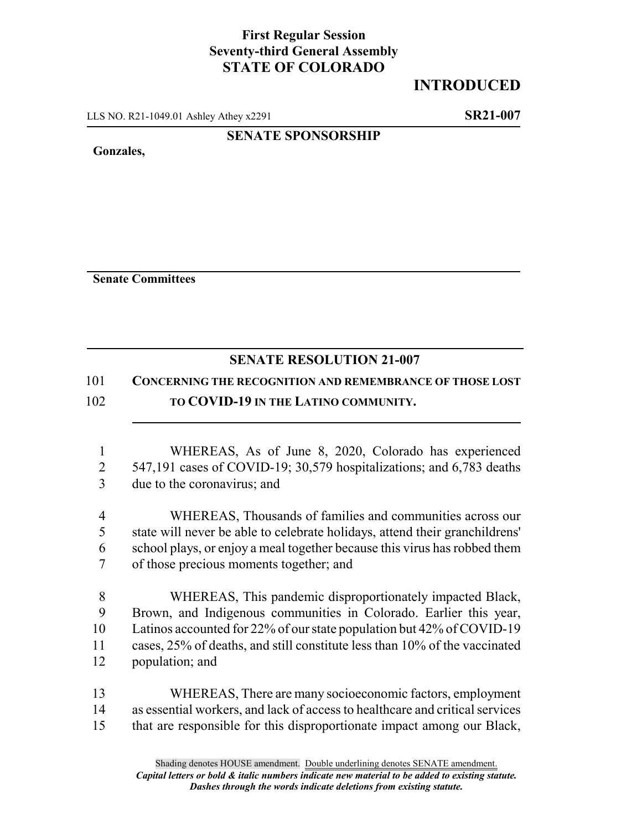## **First Regular Session Seventy-third General Assembly STATE OF COLORADO**

### **INTRODUCED**

LLS NO. R21-1049.01 Ashley Athey x2291 **SR21-007**

#### **SENATE SPONSORSHIP**

**Gonzales,**

**Senate Committees**

# **SENATE RESOLUTION 21-007**

## 101 **CONCERNING THE RECOGNITION AND REMEMBRANCE OF THOSE LOST**

### 102 **TO COVID-19 IN THE LATINO COMMUNITY.**

- 1 WHEREAS, As of June 8, 2020, Colorado has experienced 2 547,191 cases of COVID-19; 30,579 hospitalizations; and 6,783 deaths 3 due to the coronavirus; and
- 4 WHEREAS, Thousands of families and communities across our 5 state will never be able to celebrate holidays, attend their granchildrens' 6 school plays, or enjoy a meal together because this virus has robbed them 7 of those precious moments together; and
- 8 WHEREAS, This pandemic disproportionately impacted Black, 9 Brown, and Indigenous communities in Colorado. Earlier this year, 10 Latinos accounted for 22% of our state population but 42% of COVID-19 11 cases, 25% of deaths, and still constitute less than 10% of the vaccinated 12 population; and
- 13 WHEREAS, There are many socioeconomic factors, employment 14 as essential workers, and lack of access to healthcare and critical services 15 that are responsible for this disproportionate impact among our Black,